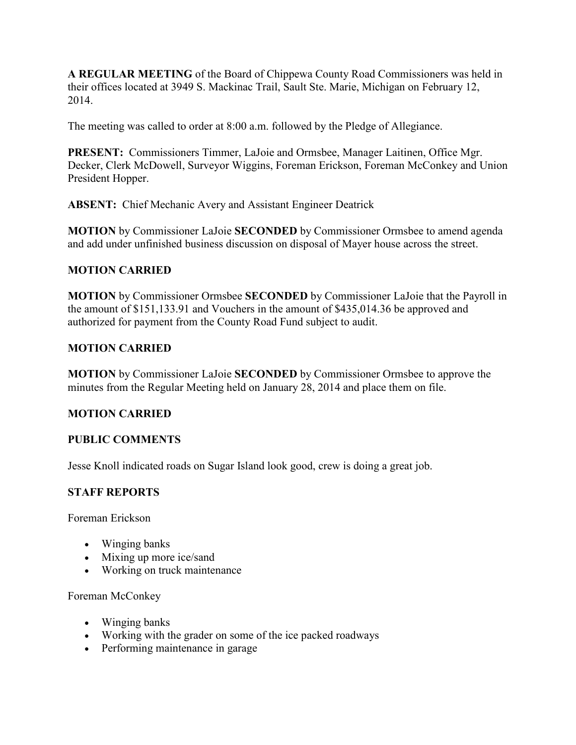**A REGULAR MEETING** of the Board of Chippewa County Road Commissioners was held in their offices located at 3949 S. Mackinac Trail, Sault Ste. Marie, Michigan on February 12, 2014.

The meeting was called to order at 8:00 a.m. followed by the Pledge of Allegiance.

**PRESENT:** Commissioners Timmer, LaJoie and Ormsbee, Manager Laitinen, Office Mgr. Decker, Clerk McDowell, Surveyor Wiggins, Foreman Erickson, Foreman McConkey and Union President Hopper.

**ABSENT:** Chief Mechanic Avery and Assistant Engineer Deatrick

**MOTION** by Commissioner LaJoie **SECONDED** by Commissioner Ormsbee to amend agenda and add under unfinished business discussion on disposal of Mayer house across the street.

# **MOTION CARRIED**

**MOTION** by Commissioner Ormsbee **SECONDED** by Commissioner LaJoie that the Payroll in the amount of \$151,133.91 and Vouchers in the amount of \$435,014.36 be approved and authorized for payment from the County Road Fund subject to audit.

# **MOTION CARRIED**

**MOTION** by Commissioner LaJoie **SECONDED** by Commissioner Ormsbee to approve the minutes from the Regular Meeting held on January 28, 2014 and place them on file.

# **MOTION CARRIED**

## **PUBLIC COMMENTS**

Jesse Knoll indicated roads on Sugar Island look good, crew is doing a great job.

# **STAFF REPORTS**

Foreman Erickson

- Winging banks
- Mixing up more ice/sand
- Working on truck maintenance

Foreman McConkey

- Winging banks
- Working with the grader on some of the ice packed roadways
- Performing maintenance in garage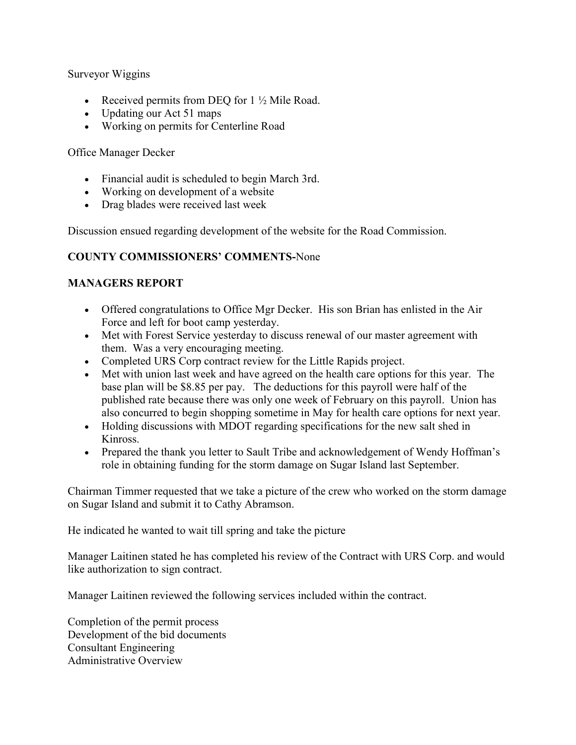### Surveyor Wiggins

- Received permits from DEQ for  $1\frac{1}{2}$  Mile Road.
- Updating our Act 51 maps
- Working on permits for Centerline Road

### Office Manager Decker

- Financial audit is scheduled to begin March 3rd.
- Working on development of a website
- Drag blades were received last week

Discussion ensued regarding development of the website for the Road Commission.

## **COUNTY COMMISSIONERS' COMMENTS-**None

## **MANAGERS REPORT**

- Offered congratulations to Office Mgr Decker. His son Brian has enlisted in the Air Force and left for boot camp yesterday.
- Met with Forest Service yesterday to discuss renewal of our master agreement with them. Was a very encouraging meeting.
- Completed URS Corp contract review for the Little Rapids project.
- Met with union last week and have agreed on the health care options for this year. The base plan will be \$8.85 per pay. The deductions for this payroll were half of the published rate because there was only one week of February on this payroll. Union has also concurred to begin shopping sometime in May for health care options for next year.
- Holding discussions with MDOT regarding specifications for the new salt shed in Kinross.
- Prepared the thank you letter to Sault Tribe and acknowledgement of Wendy Hoffman's role in obtaining funding for the storm damage on Sugar Island last September.

Chairman Timmer requested that we take a picture of the crew who worked on the storm damage on Sugar Island and submit it to Cathy Abramson.

He indicated he wanted to wait till spring and take the picture

Manager Laitinen stated he has completed his review of the Contract with URS Corp. and would like authorization to sign contract.

Manager Laitinen reviewed the following services included within the contract.

Completion of the permit process Development of the bid documents Consultant Engineering Administrative Overview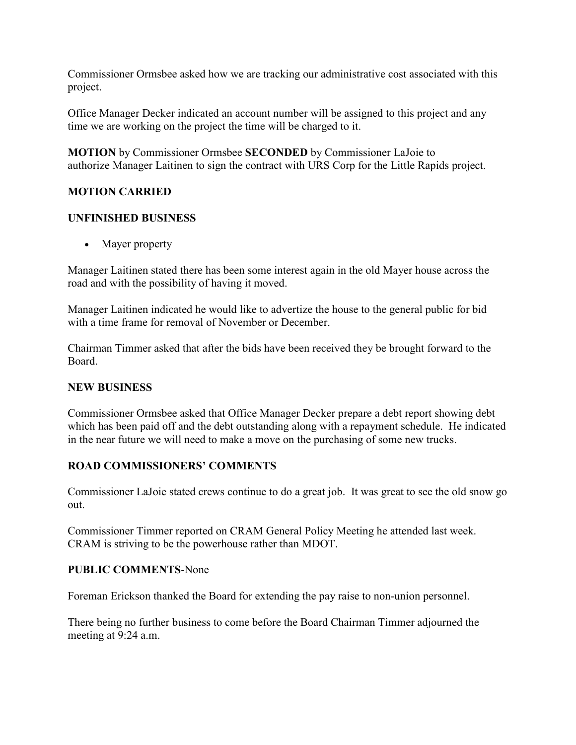Commissioner Ormsbee asked how we are tracking our administrative cost associated with this project.

Office Manager Decker indicated an account number will be assigned to this project and any time we are working on the project the time will be charged to it.

**MOTION** by Commissioner Ormsbee **SECONDED** by Commissioner LaJoie to authorize Manager Laitinen to sign the contract with URS Corp for the Little Rapids project.

## **MOTION CARRIED**

## **UNFINISHED BUSINESS**

• Mayer property

Manager Laitinen stated there has been some interest again in the old Mayer house across the road and with the possibility of having it moved.

Manager Laitinen indicated he would like to advertize the house to the general public for bid with a time frame for removal of November or December.

Chairman Timmer asked that after the bids have been received they be brought forward to the Board.

#### **NEW BUSINESS**

Commissioner Ormsbee asked that Office Manager Decker prepare a debt report showing debt which has been paid off and the debt outstanding along with a repayment schedule. He indicated in the near future we will need to make a move on the purchasing of some new trucks.

## **ROAD COMMISSIONERS' COMMENTS**

Commissioner LaJoie stated crews continue to do a great job. It was great to see the old snow go out.

Commissioner Timmer reported on CRAM General Policy Meeting he attended last week. CRAM is striving to be the powerhouse rather than MDOT.

#### **PUBLIC COMMENTS**-None

Foreman Erickson thanked the Board for extending the pay raise to non-union personnel.

There being no further business to come before the Board Chairman Timmer adjourned the meeting at 9:24 a.m.